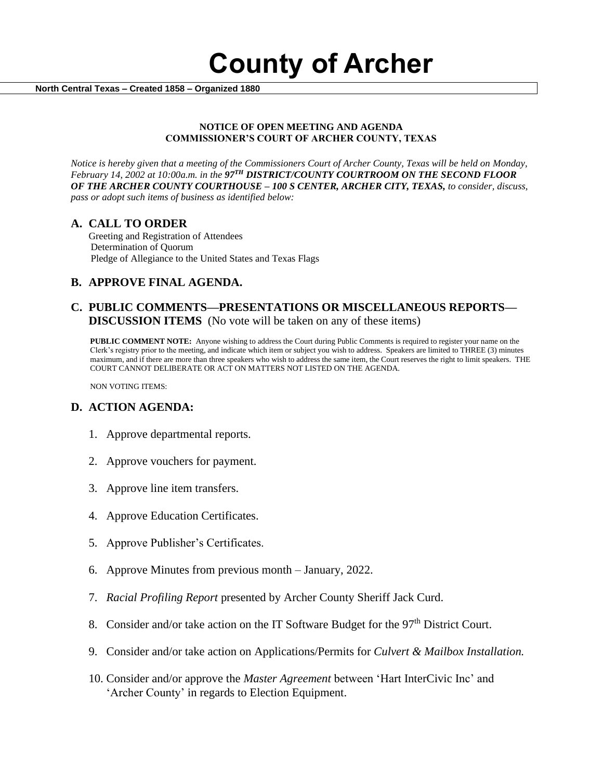**County of Archer** 

 **North Central Texas – Created 1858 – Organized 1880**

#### **NOTICE OF OPEN MEETING AND AGENDA COMMISSIONER'S COURT OF ARCHER COUNTY, TEXAS**

*Notice is hereby given that a meeting of the Commissioners Court of Archer County, Texas will be held on Monday, February 14, 2002 at 10:00a.m. in the 97TH DISTRICT/COUNTY COURTROOM ON THE SECOND FLOOR OF THE ARCHER COUNTY COURTHOUSE – 100 S CENTER, ARCHER CITY, TEXAS, to consider, discuss, pass or adopt such items of business as identified below:*

### **A. CALL TO ORDER**

 Greeting and Registration of Attendees Determination of Quorum Pledge of Allegiance to the United States and Texas Flags

# **B. APPROVE FINAL AGENDA.**

## **C. PUBLIC COMMENTS—PRESENTATIONS OR MISCELLANEOUS REPORTS— DISCUSSION ITEMS** (No vote will be taken on any of these items)

**PUBLIC COMMENT NOTE:** Anyone wishing to address the Court during Public Comments is required to register your name on the Clerk's registry prior to the meeting, and indicate which item or subject you wish to address. Speakers are limited to THREE (3) minutes maximum, and if there are more than three speakers who wish to address the same item, the Court reserves the right to limit speakers. THE COURT CANNOT DELIBERATE OR ACT ON MATTERS NOT LISTED ON THE AGENDA.

NON VOTING ITEMS:

### **D. ACTION AGENDA:**

- 1. Approve departmental reports.
- 2. Approve vouchers for payment.
- 3. Approve line item transfers.
- 4. Approve Education Certificates.
- 5. Approve Publisher's Certificates.
- 6. Approve Minutes from previous month January, 2022.
- 7. *Racial Profiling Report* presented by Archer County Sheriff Jack Curd.
- 8. Consider and/or take action on the IT Software Budget for the 97<sup>th</sup> District Court.
- 9. Consider and/or take action on Applications/Permits for *Culvert & Mailbox Installation.*
- 10. Consider and/or approve the *Master Agreement* between 'Hart InterCivic Inc' and 'Archer County' in regards to Election Equipment.